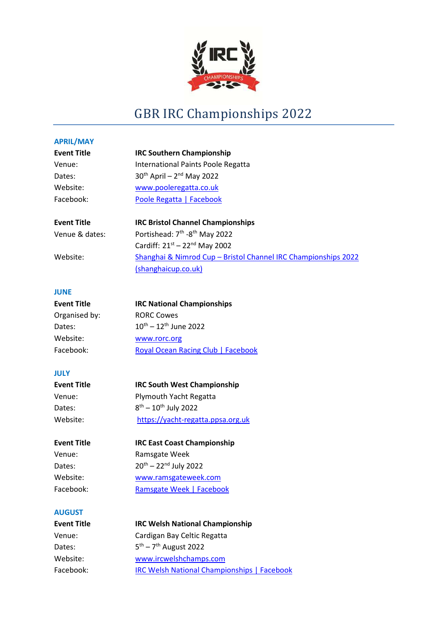

# GBR IRC Championships 2022

| <b>APRIL/MAY</b>   |                                                                |
|--------------------|----------------------------------------------------------------|
| <b>Event Title</b> | <b>IRC Southern Championship</b>                               |
| Venue:             | International Paints Poole Regatta                             |
| Dates:             | $30th$ April – $2nd$ May 2022                                  |
| Website:           | www.pooleregatta.co.uk                                         |
| Facebook:          | Poole Regatta   Facebook                                       |
| <b>Event Title</b> | <b>IRC Bristol Channel Championships</b>                       |
| Venue & dates:     | Portishead: 7 <sup>th</sup> -8 <sup>th</sup> May 2022          |
|                    | Cardiff: $21^{st} - 22^{nd}$ May 2002                          |
| Website:           | Shanghai & Nimrod Cup - Bristol Channel IRC Championships 2022 |
|                    | (shanghaicup.co.uk)                                            |
| <b>JUNE</b>        |                                                                |
| <b>Event Title</b> | <b>IRC National Championships</b>                              |
| Organised by:      | <b>RORC Cowes</b>                                              |
| Dates:             | $10^{th} - 12^{th}$ June 2022                                  |
| Website:           | www.rorc.org                                                   |
| Facebook:          | <b>Royal Ocean Racing Club   Facebook</b>                      |
| <b>JULY</b>        |                                                                |
| <b>Event Title</b> | <b>IRC South West Championship</b>                             |
| Venue:             | Plymouth Yacht Regatta                                         |
| Dates:             | $8^{th} - 10^{th}$ July 2022                                   |
| Website:           | https://yacht-regatta.ppsa.org.uk                              |
| <b>Event Title</b> | <b>IRC East Coast Championship</b>                             |
| Venue:             | Ramsgate Week                                                  |
| Dates:             | $20^{th} - 22^{nd}$ July 2022                                  |
| Website:           | www.ramsgateweek.com                                           |
| Facebook:          | <b>Ramsgate Week   Facebook</b>                                |
| <b>AUGUST</b>      |                                                                |
| <b>Event Title</b> | <b>IRC Welsh National Championship</b>                         |
| Venue:             | Cardigan Bay Celtic Regatta                                    |

Dates:  $5^{th} - 7^{th}$  August 2022

Website: www.ircwelshchamps.com

Facebook: IRC Welsh National Championships | Facebook